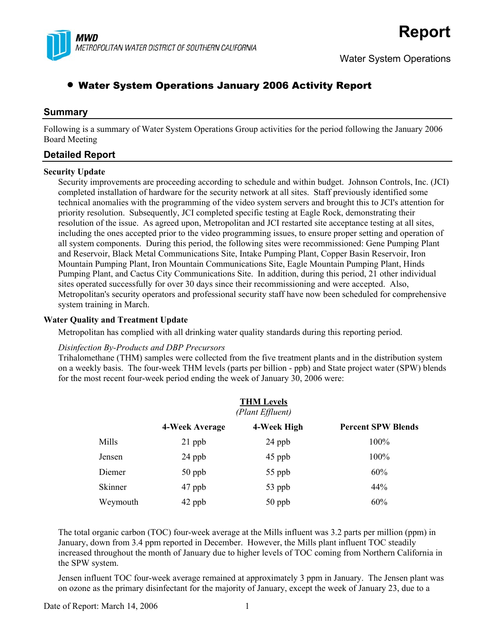

# • Water System Operations January 2006 Activity Report

# **Summary**

Following is a summary of Water System Operations Group activities for the period following the January 2006 Board Meeting

# **Detailed Report**

### **Security Update**

Security improvements are proceeding according to schedule and within budget. Johnson Controls, Inc. (JCI) completed installation of hardware for the security network at all sites. Staff previously identified some technical anomalies with the programming of the video system servers and brought this to JCI's attention for priority resolution. Subsequently, JCI completed specific testing at Eagle Rock, demonstrating their resolution of the issue. As agreed upon, Metropolitan and JCI restarted site acceptance testing at all sites, including the ones accepted prior to the video programming issues, to ensure proper setting and operation of all system components. During this period, the following sites were recommissioned: Gene Pumping Plant and Reservoir, Black Metal Communications Site, Intake Pumping Plant, Copper Basin Reservoir, Iron Mountain Pumping Plant, Iron Mountain Communications Site, Eagle Mountain Pumping Plant, Hinds Pumping Plant, and Cactus City Communications Site. In addition, during this period, 21 other individual sites operated successfully for over 30 days since their recommissioning and were accepted. Also, Metropolitan's security operators and professional security staff have now been scheduled for comprehensive system training in March.

#### **Water Quality and Treatment Update**

Metropolitan has complied with all drinking water quality standards during this reporting period.

#### *Disinfection By-Products and DBP Precursors*

Trihalomethane (THM) samples were collected from the five treatment plants and in the distribution system on a weekly basis. The four-week THM levels (parts per billion - ppb) and State project water (SPW) blends for the most recent four-week period ending the week of January 30, 2006 were:

| <b>THM Levels</b><br>(Plant Effluent) |                |             |                           |  |
|---------------------------------------|----------------|-------------|---------------------------|--|
|                                       | 4-Week Average | 4-Week High | <b>Percent SPW Blends</b> |  |
| Mills                                 | $21$ ppb       | 24 ppb      | 100%                      |  |
| Jensen                                | 24 ppb         | 45 ppb      | 100%                      |  |
| Diemer                                | $50$ ppb       | 55 ppb      | 60%                       |  |
| Skinner                               | 47 ppb         | 53 ppb      | 44%                       |  |
| Weymouth                              | 42 ppb         | $50$ ppb    | 60%                       |  |

The total organic carbon (TOC) four-week average at the Mills influent was 3.2 parts per million (ppm) in January, down from 3.4 ppm reported in December. However, the Mills plant influent TOC steadily increased throughout the month of January due to higher levels of TOC coming from Northern California in the SPW system.

Jensen influent TOC four-week average remained at approximately 3 ppm in January. The Jensen plant was on ozone as the primary disinfectant for the majority of January, except the week of January 23, due to a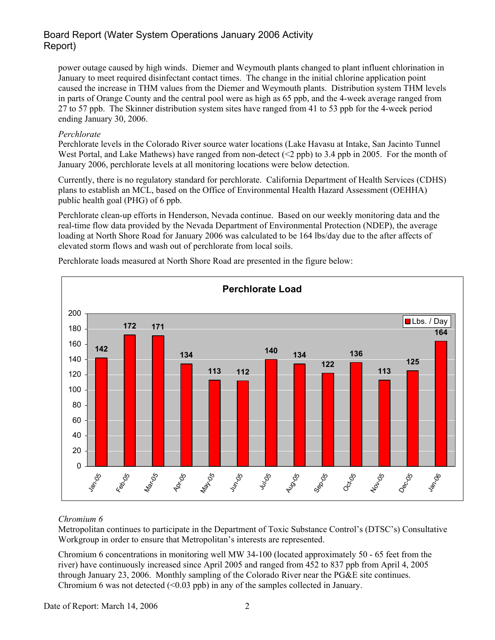# Board Report (Water System Operations January 2006 Activity Report)

power outage caused by high winds. Diemer and Weymouth plants changed to plant influent chlorination in January to meet required disinfectant contact times. The change in the initial chlorine application point caused the increase in THM values from the Diemer and Weymouth plants. Distribution system THM levels in parts of Orange County and the central pool were as high as 65 ppb, and the 4-week average ranged from 27 to 57 ppb. The Skinner distribution system sites have ranged from 41 to 53 ppb for the 4-week period ending January 30, 2006.

### *Perchlorate*

Perchlorate levels in the Colorado River source water locations (Lake Havasu at Intake, San Jacinto Tunnel West Portal, and Lake Mathews) have ranged from non-detect (<2 ppb) to 3.4 ppb in 2005. For the month of January 2006, perchlorate levels at all monitoring locations were below detection.

Currently, there is no regulatory standard for perchlorate. California Department of Health Services (CDHS) plans to establish an MCL, based on the Office of Environmental Health Hazard Assessment (OEHHA) public health goal (PHG) of 6 ppb.

Perchlorate clean-up efforts in Henderson, Nevada continue. Based on our weekly monitoring data and the real-time flow data provided by the Nevada Department of Environmental Protection (NDEP), the average loading at North Shore Road for January 2006 was calculated to be 164 lbs/day due to the after affects of elevated storm flows and wash out of perchlorate from local soils.



Perchlorate loads measured at North Shore Road are presented in the figure below:

### *Chromium 6*

Metropolitan continues to participate in the Department of Toxic Substance Control's (DTSC's) Consultative Workgroup in order to ensure that Metropolitan's interests are represented.

Chromium 6 concentrations in monitoring well MW 34-100 (located approximately 50 - 65 feet from the river) have continuously increased since April 2005 and ranged from 452 to 837 ppb from April 4, 2005 through January 23, 2006. Monthly sampling of the Colorado River near the PG&E site continues. Chromium 6 was not detected  $\left($  <0.03 ppb) in any of the samples collected in January.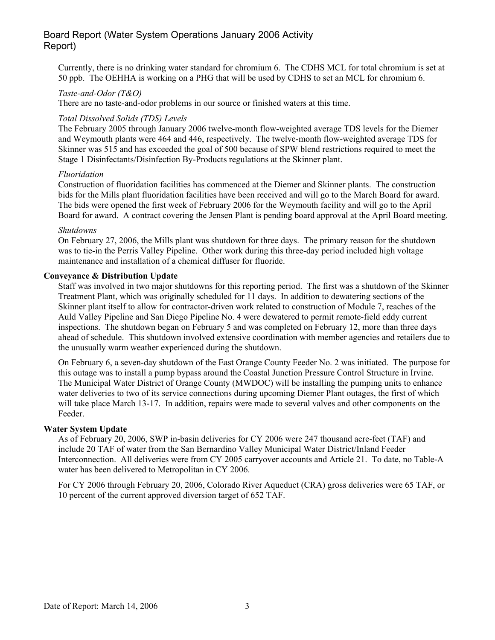# Board Report (Water System Operations January 2006 Activity Report)

Currently, there is no drinking water standard for chromium 6. The CDHS MCL for total chromium is set at 50 ppb. The OEHHA is working on a PHG that will be used by CDHS to set an MCL for chromium 6.

#### *Taste-and-Odor (T&O)*

There are no taste-and-odor problems in our source or finished waters at this time.

#### *Total Dissolved Solids (TDS) Levels*

The February 2005 through January 2006 twelve-month flow-weighted average TDS levels for the Diemer and Weymouth plants were 464 and 446, respectively. The twelve-month flow-weighted average TDS for Skinner was 515 and has exceeded the goal of 500 because of SPW blend restrictions required to meet the Stage 1 Disinfectants/Disinfection By-Products regulations at the Skinner plant.

#### *Fluoridation*

Construction of fluoridation facilities has commenced at the Diemer and Skinner plants. The construction bids for the Mills plant fluoridation facilities have been received and will go to the March Board for award. The bids were opened the first week of February 2006 for the Weymouth facility and will go to the April Board for award. A contract covering the Jensen Plant is pending board approval at the April Board meeting.

#### *Shutdowns*

On February 27, 2006, the Mills plant was shutdown for three days. The primary reason for the shutdown was to tie-in the Perris Valley Pipeline. Other work during this three-day period included high voltage maintenance and installation of a chemical diffuser for fluoride.

### **Conveyance & Distribution Update**

Staff was involved in two major shutdowns for this reporting period. The first was a shutdown of the Skinner Treatment Plant, which was originally scheduled for 11 days. In addition to dewatering sections of the Skinner plant itself to allow for contractor-driven work related to construction of Module 7, reaches of the Auld Valley Pipeline and San Diego Pipeline No. 4 were dewatered to permit remote-field eddy current inspections. The shutdown began on February 5 and was completed on February 12, more than three days ahead of schedule. This shutdown involved extensive coordination with member agencies and retailers due to the unusually warm weather experienced during the shutdown.

On February 6, a seven-day shutdown of the East Orange County Feeder No. 2 was initiated. The purpose for this outage was to install a pump bypass around the Coastal Junction Pressure Control Structure in Irvine. The Municipal Water District of Orange County (MWDOC) will be installing the pumping units to enhance water deliveries to two of its service connections during upcoming Diemer Plant outages, the first of which will take place March 13-17. In addition, repairs were made to several valves and other components on the Feeder.

#### **Water System Update**

As of February 20, 2006, SWP in-basin deliveries for CY 2006 were 247 thousand acre-feet (TAF) and include 20 TAF of water from the San Bernardino Valley Municipal Water District/Inland Feeder Interconnection. All deliveries were from CY 2005 carryover accounts and Article 21. To date, no Table-A water has been delivered to Metropolitan in CY 2006.

For CY 2006 through February 20, 2006, Colorado River Aqueduct (CRA) gross deliveries were 65 TAF, or 10 percent of the current approved diversion target of 652 TAF.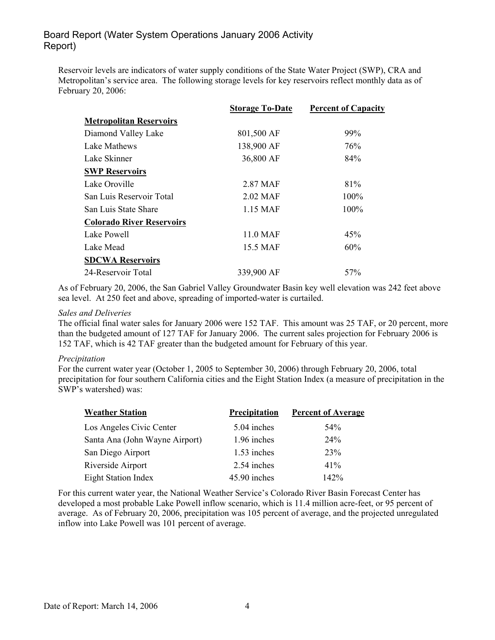# Board Report (Water System Operations January 2006 Activity Report)

Reservoir levels are indicators of water supply conditions of the State Water Project (SWP), CRA and Metropolitan's service area. The following storage levels for key reservoirs reflect monthly data as of February 20, 2006:

|                                  | <b>Storage To-Date</b> | <b>Percent of Capacity</b> |
|----------------------------------|------------------------|----------------------------|
| <b>Metropolitan Reservoirs</b>   |                        |                            |
| Diamond Valley Lake              | 801,500 AF             | 99%                        |
| Lake Mathews                     | 138,900 AF             | 76%                        |
| Lake Skinner                     | 36,800 AF              | 84%                        |
| <b>SWP Reservoirs</b>            |                        |                            |
| Lake Oroville                    | 2.87 MAF               | 81%                        |
| San Luis Reservoir Total         | 2.02 MAF               | 100%                       |
| San Luis State Share             | 1.15 MAF               | $100\%$                    |
| <b>Colorado River Reservoirs</b> |                        |                            |
| Lake Powell                      | 11.0 MAF               | 45%                        |
| Lake Mead                        | 15.5 MAF               | 60%                        |
| <b>SDCWA Reservoirs</b>          |                        |                            |
| 24-Reservoir Total               | 339,900 AF             | 57 <sub>%</sub>            |

As of February 20, 2006, the San Gabriel Valley Groundwater Basin key well elevation was 242 feet above sea level. At 250 feet and above, spreading of imported-water is curtailed.

#### *Sales and Deliveries*

The official final water sales for January 2006 were 152 TAF. This amount was 25 TAF, or 20 percent, more than the budgeted amount of 127 TAF for January 2006. The current sales projection for February 2006 is 152 TAF, which is 42 TAF greater than the budgeted amount for February of this year.

#### *Precipitation*

For the current water year (October 1, 2005 to September 30, 2006) through February 20, 2006, total precipitation for four southern California cities and the Eight Station Index (a measure of precipitation in the SWP's watershed) was:

| <b>Weather Station</b>         | Precipitation | <b>Percent of Average</b> |
|--------------------------------|---------------|---------------------------|
| Los Angeles Civic Center       | 5.04 inches   | 54%                       |
| Santa Ana (John Wayne Airport) | 1.96 inches   | 24%                       |
| San Diego Airport              | 1.53 inches   | 23%                       |
| Riverside Airport              | 2.54 inches   | 41%                       |
| <b>Eight Station Index</b>     | 45.90 inches  | 142%                      |

For this current water year, the National Weather Service's Colorado River Basin Forecast Center has developed a most probable Lake Powell inflow scenario, which is 11.4 million acre-feet, or 95 percent of average. As of February 20, 2006, precipitation was 105 percent of average, and the projected unregulated inflow into Lake Powell was 101 percent of average.